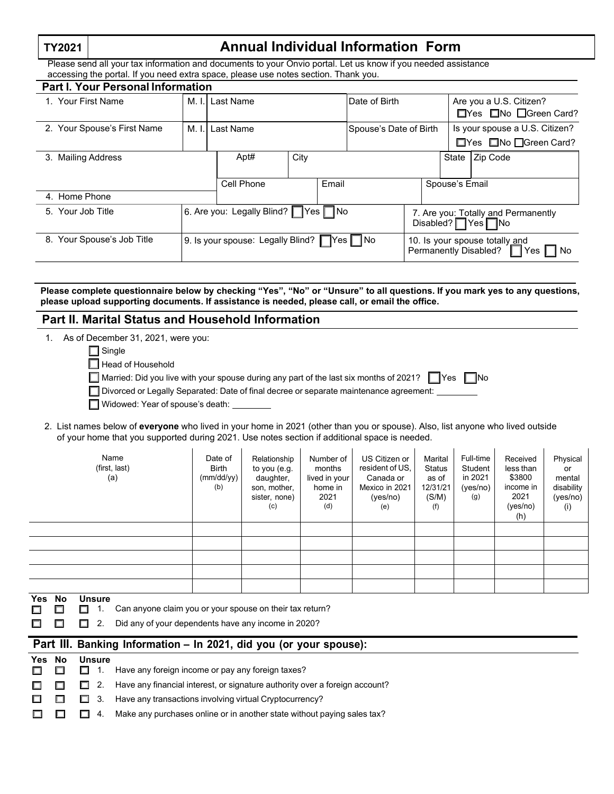## **TY2021 Annual Individual Information Form**

Please send all your tax information and documents to your Onvio portal. Let us know if you needed assistance accessing the portal. If you need extra space, please use notes section. Thank you.

| <b>Part I. Your Personal Information</b> |                                       |                                          |      |  |                        |                                                                          |       |                                |  |  |
|------------------------------------------|---------------------------------------|------------------------------------------|------|--|------------------------|--------------------------------------------------------------------------|-------|--------------------------------|--|--|
| 1. Your First Name                       | M. I.                                 | Last Name                                |      |  | Date of Birth          |                                                                          |       | Are you a U.S. Citizen?        |  |  |
|                                          |                                       |                                          |      |  |                        |                                                                          |       | □Yes □No □Green Card?          |  |  |
| 2. Your Spouse's First Name              | M. I.                                 | <sub>-</sub> ast Name                    |      |  | Spouse's Date of Birth |                                                                          |       | Is your spouse a U.S. Citizen? |  |  |
|                                          |                                       |                                          |      |  |                        |                                                                          |       | □Yes □No □Green Card?          |  |  |
| 3. Mailing Address                       |                                       | Apt#                                     | City |  |                        |                                                                          | State | Zip Code                       |  |  |
|                                          |                                       |                                          |      |  |                        |                                                                          |       |                                |  |  |
|                                          | Cell Phone                            | Email                                    |      |  |                        | Spouse's Email                                                           |       |                                |  |  |
| 4. Home Phone                            |                                       |                                          |      |  |                        |                                                                          |       |                                |  |  |
| 5. Your Job Title                        | 6. Are you: Legally Blind?   Yes   No |                                          |      |  |                        | 7. Are you: Totally and Permanently                                      |       |                                |  |  |
|                                          |                                       |                                          |      |  |                        |                                                                          |       | Disabled? $\Box$ Yes $\Box$ No |  |  |
| 8. Your Spouse's Job Title               |                                       | 9. Is your spouse: Legally Blind? Ves No |      |  |                        | 10. Is your spouse totally and<br>Permanently Disabled?<br>∣ I No<br>Yes |       |                                |  |  |
|                                          |                                       |                                          |      |  |                        |                                                                          |       |                                |  |  |

**Please complete questionnaire below by checking "Yes", "No" or "Unsure" to all questions. If you mark yes to any questions, please upload supporting documents. If assistance is needed, please call, or email the office.** 

## **Part II. Marital Status and Household Information**

1. As of December 31, 2021, were you:

 $\Box$  Single

 $\Box$  Head of Household

Married: Did you live with your spouse during any part of the last six months of 2021?  $\Box$  Yes  $\Box$  No

Divorced or Legally Separated: Date of final decree or separate maintenance agreement:

Widowed: Year of spouse's death:

2. List names below of **everyone** who lived in your home in 2021 (other than you or spouse). Also, list anyone who lived outside of your home that you supported during 2021. Use notes section if additional space is needed.

| Name<br>(first, last)<br>(a) | Date of<br>Birth<br>(mm/dd/yy)<br>(b) | Relationship<br>to you (e.g.<br>daughter,<br>son, mother,<br>sister, none)<br>(c) | Number of<br>months<br>lived in your<br>home in<br>2021<br>(d) | US Citizen or<br>resident of US,<br>Canada or<br>Mexico in 2021<br>(yes/no)<br>(e) | Marital<br>Status<br>as of<br>12/31/21<br>(S/M)<br>(f) | Full-time<br>Student<br>in 2021<br>(yes/no)<br>(g) | Received<br>less than<br>\$3800<br>income in<br>2021<br>(yes/no)<br>(h) | Physical<br>or<br>mental<br>disability<br>(yes/no)<br>(i) |
|------------------------------|---------------------------------------|-----------------------------------------------------------------------------------|----------------------------------------------------------------|------------------------------------------------------------------------------------|--------------------------------------------------------|----------------------------------------------------|-------------------------------------------------------------------------|-----------------------------------------------------------|
|                              |                                       |                                                                                   |                                                                |                                                                                    |                                                        |                                                    |                                                                         |                                                           |
|                              |                                       |                                                                                   |                                                                |                                                                                    |                                                        |                                                    |                                                                         |                                                           |
|                              |                                       |                                                                                   |                                                                |                                                                                    |                                                        |                                                    |                                                                         |                                                           |
|                              |                                       |                                                                                   |                                                                |                                                                                    |                                                        |                                                    |                                                                         |                                                           |
|                              |                                       |                                                                                   |                                                                |                                                                                    |                                                        |                                                    |                                                                         |                                                           |

| <b>Yes</b> | N٥ | Unsure |
|------------|----|--------|
|            |    |        |

□

 $\Box$  1. Can anyone claim you or your spouse on their tax return?

2. Did any of your dependents have any income in 2020?  $\Box$ 

|        | Part III. Banking Information – In 2021, did you (or your spouse): |  |        |                                                                                       |  |  |
|--------|--------------------------------------------------------------------|--|--------|---------------------------------------------------------------------------------------|--|--|
| Yes No |                                                                    |  | Unsure |                                                                                       |  |  |
|        |                                                                    |  |        | $\Box$ $\Box$ 1. Have any foreign income or pay any foreign taxes?                    |  |  |
|        |                                                                    |  |        | $\Box$ 2. Have any financial interest, or signature authority over a foreign account? |  |  |
| ш.     |                                                                    |  |        | $\Box$ 3. Have any transactions involving virtual Cryptocurrency?                     |  |  |
|        | П                                                                  |  |        | $\Box$ 4. Make any purchases online or in another state without paying sales tax?     |  |  |